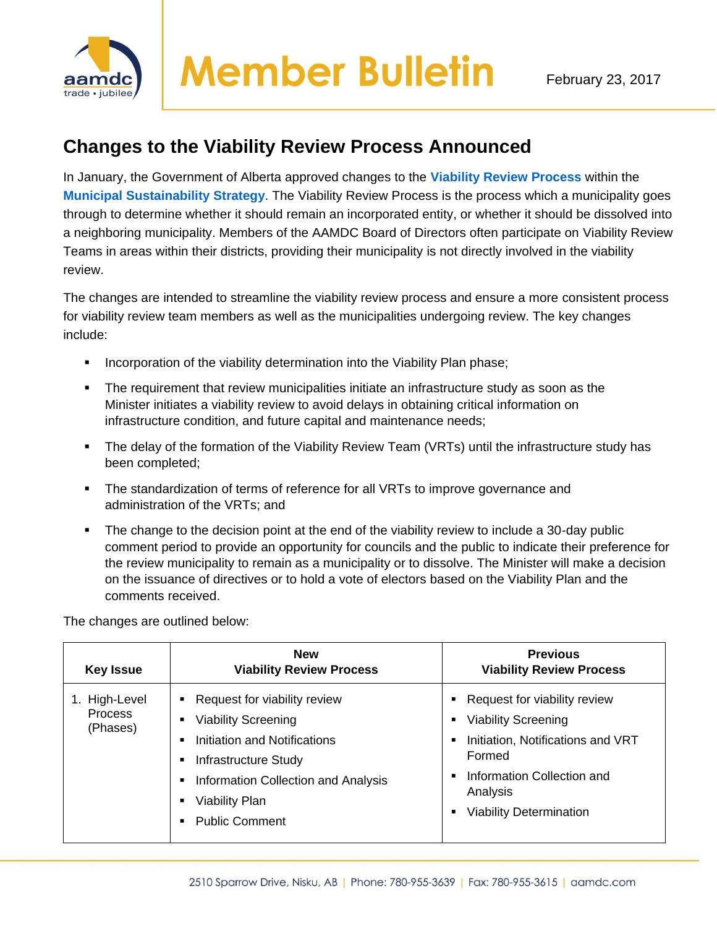

## **Changes to the Viability Review Process Announced**

In January, the Government of Alberta approved changes to the **[Viability Review Process](http://www.municipalaffairs.alberta.ca/viability-reviews)** within the **Municipal [Sustainability](http://www.municipalaffairs.alberta.ca/municipal-sustainability-strategy) Strategy**. The Viability Review Process is the process which a municipality goes through to determine whether it should remain an incorporated entity, or whether it should be dissolved into a neighboring municipality. Members of the AAMDC Board of Directors often participate on Viability Review Teams in areas within their districts, providing their municipality is not directly involved in the viability review.

The changes are intended to streamline the viability review process and ensure a more consistent process for viability review team members as well as the municipalities undergoing review. The key changes include:

- Incorporation of the viability determination into the Viability Plan phase;
- The requirement that review municipalities initiate an infrastructure study as soon as the Minister initiates a viability review to avoid delays in obtaining critical information on infrastructure condition, and future capital and maintenance needs;
- The delay of the formation of the Viability Review Team (VRTs) until the infrastructure study has been completed;
- The standardization of terms of reference for all VRTs to improve governance and administration of the VRTs; and
- The change to the decision point at the end of the viability review to include a 30-day public comment period to provide an opportunity for councils and the public to indicate their preference for the review municipality to remain as a municipality or to dissolve. The Minister will make a decision on the issuance of directives or to hold a vote of electors based on the Viability Plan and the comments received.

The changes are outlined below:

| <b>Key Issue</b>                     | <b>New</b><br><b>Viability Review Process</b>                                                                                                                                                               | <b>Previous</b><br><b>Viability Review Process</b>                                                                                                                                      |
|--------------------------------------|-------------------------------------------------------------------------------------------------------------------------------------------------------------------------------------------------------------|-----------------------------------------------------------------------------------------------------------------------------------------------------------------------------------------|
| 1. High-Level<br>Process<br>(Phases) | Request for viability review<br><b>Viability Screening</b><br>Initiation and Notifications<br>Infrastructure Study<br>Information Collection and Analysis<br><b>Viability Plan</b><br><b>Public Comment</b> | • Request for viability review<br>• Viability Screening<br>Initiation, Notifications and VRT<br>Formed<br>Information Collection and<br>Analysis<br><b>Viability Determination</b><br>٠ |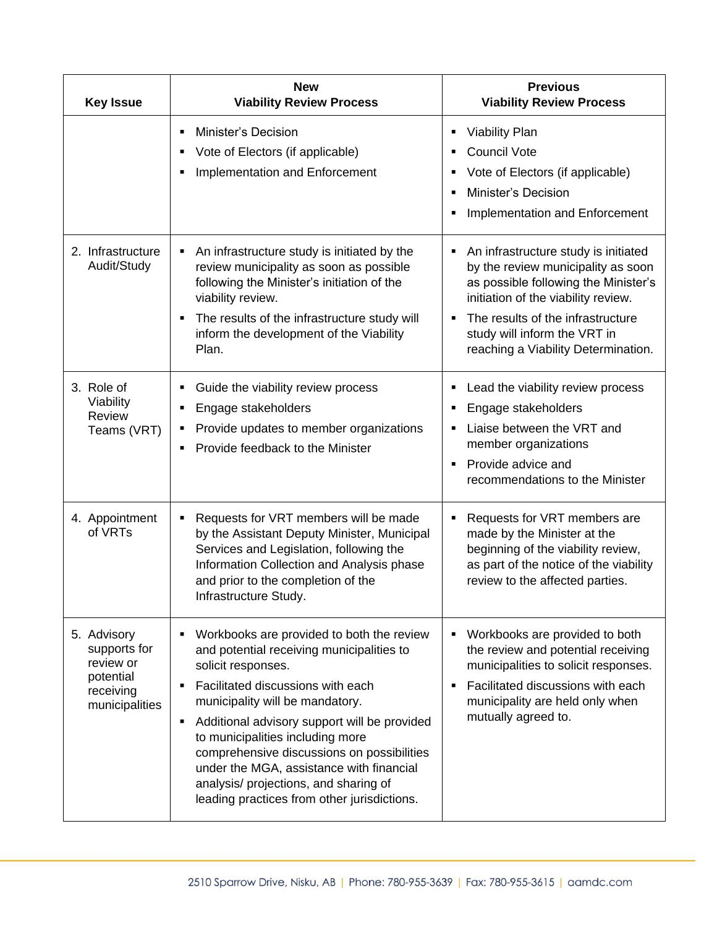| <b>Key Issue</b>                                                                     | <b>New</b><br><b>Viability Review Process</b>                                                                                                                                                                                                                                                                                                                                                                                                                   | <b>Previous</b><br><b>Viability Review Process</b>                                                                                                                                                                                                                         |
|--------------------------------------------------------------------------------------|-----------------------------------------------------------------------------------------------------------------------------------------------------------------------------------------------------------------------------------------------------------------------------------------------------------------------------------------------------------------------------------------------------------------------------------------------------------------|----------------------------------------------------------------------------------------------------------------------------------------------------------------------------------------------------------------------------------------------------------------------------|
|                                                                                      | Minister's Decision<br>Vote of Electors (if applicable)<br>Implementation and Enforcement                                                                                                                                                                                                                                                                                                                                                                       | <b>Viability Plan</b><br>п<br><b>Council Vote</b><br>٠<br>Vote of Electors (if applicable)<br><b>Minister's Decision</b><br>п<br>Implementation and Enforcement                                                                                                            |
| 2. Infrastructure<br>Audit/Study                                                     | An infrastructure study is initiated by the<br>review municipality as soon as possible<br>following the Minister's initiation of the<br>viability review.<br>The results of the infrastructure study will<br>inform the development of the Viability<br>Plan.                                                                                                                                                                                                   | An infrastructure study is initiated<br>Ξ<br>by the review municipality as soon<br>as possible following the Minister's<br>initiation of the viability review.<br>The results of the infrastructure<br>study will inform the VRT in<br>reaching a Viability Determination. |
| 3. Role of<br>Viability<br>Review<br>Teams (VRT)                                     | Guide the viability review process<br>٠<br>Engage stakeholders<br>п<br>Provide updates to member organizations<br>п<br>Provide feedback to the Minister<br>٠                                                                                                                                                                                                                                                                                                    | Lead the viability review process<br>٠<br>Engage stakeholders<br>п<br>Liaise between the VRT and<br>٠<br>member organizations<br>Provide advice and<br>$\blacksquare$<br>recommendations to the Minister                                                                   |
| 4. Appointment<br>of VRTs                                                            | Requests for VRT members will be made<br>by the Assistant Deputy Minister, Municipal<br>Services and Legislation, following the<br>Information Collection and Analysis phase<br>and prior to the completion of the<br>Infrastructure Study.                                                                                                                                                                                                                     | Requests for VRT members are<br>Е<br>made by the Minister at the<br>beginning of the viability review,<br>as part of the notice of the viability<br>review to the affected parties.                                                                                        |
| 5. Advisory<br>supports for<br>review or<br>potential<br>receiving<br>municipalities | Workbooks are provided to both the review<br>and potential receiving municipalities to<br>solicit responses.<br>Facilitated discussions with each<br>municipality will be mandatory.<br>Additional advisory support will be provided<br>п<br>to municipalities including more<br>comprehensive discussions on possibilities<br>under the MGA, assistance with financial<br>analysis/ projections, and sharing of<br>leading practices from other jurisdictions. | Workbooks are provided to both<br>п<br>the review and potential receiving<br>municipalities to solicit responses.<br>Facilitated discussions with each<br>municipality are held only when<br>mutually agreed to.                                                           |